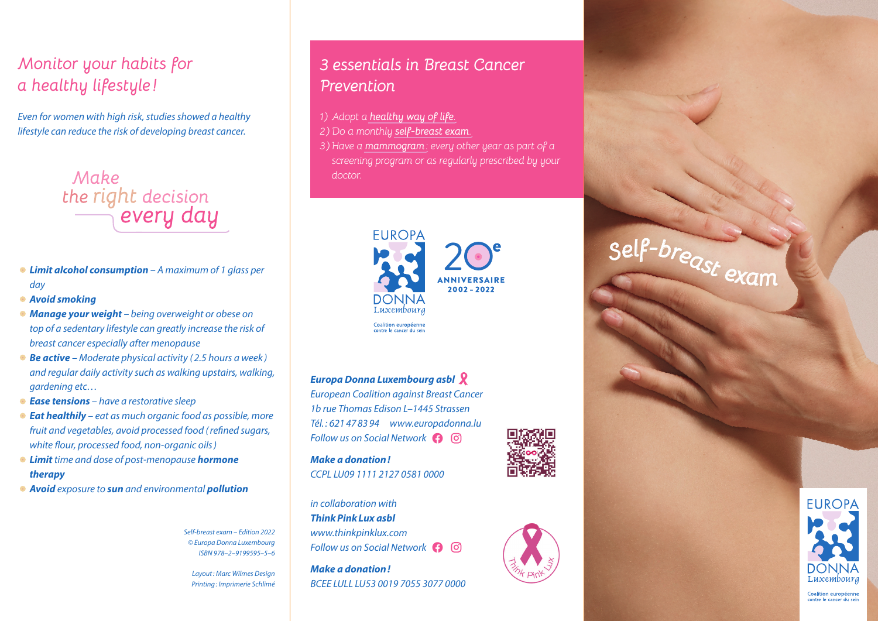# *Monitor your habits for a healthy lifestyle !*

*Even for women with high risk, studies showed a healthy lifestyle can reduce the risk of developing breast cancer.*



- *• Limit alcohol consumption A maximum of 1 glass per day*
- *• Avoid smoking*
- *• Manage your weight being overweight or obese on top of a sedentary lifestyle can greatly increase the risk of breast cancer especially after menopause*
- *• Be active Moderate physical activity ( 2.5 hours a week ) and regular daily activity such as walking upstairs, walking, gardening etc…*
- *• Ease tensions have a restorative sleep*
- *• Eat healthily eat as much organic food as possible, more fruit and vegetables, avoid processed food (refined sugars, white flour, processed food, non-organic oils)*
- *• Limit time and dose of post-menopause hormone therapy*
- *• Avoid exposure to sun and environmental pollution*

*Self-breast exam – Edition 2022 © Europa Donna Luxembourg ISBN 978–2–9199595–5–6*

*Layout: Marc Wilmes Design Printing: Imprimerie Schlimé*

## *3 essentials in Breast Cancer Prevention*

*1) Adopt a healthy way of life.*

- *2) Do a monthly self-breast exam.*
- *3) Have a mammogram: every other year as part of a screening program or as regularly prescribed by your doctor.*



*Europa Donna Luxembourg asbl*

*European Coalition against Breast Cancer 1b rue Thomas Edison L–1445 Strassen Tél. : 621 47 83 94 www.europadonna.lu Follow us on Social Network* 

*Make a donation! CCPL LU09 1111 2127 0581 0000*

*in collaboration with ThinkPinkLux asbl www.thinkpinklux.com Follow us on Social Network*

*Make a donation! BCEE LULL LU53 0019 7055 3077 0000*





*<sup>S</sup>elf-breast exam*



Coalition européenn contre le cancer du sei